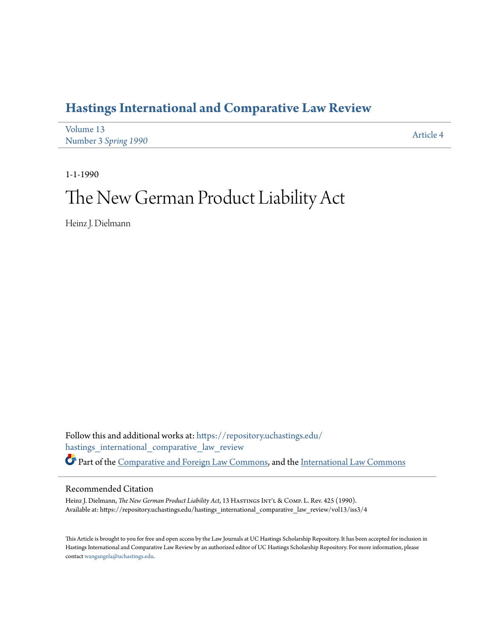## **[Hastings International and Comparative Law Review](https://repository.uchastings.edu/hastings_international_comparative_law_review?utm_source=repository.uchastings.edu%2Fhastings_international_comparative_law_review%2Fvol13%2Fiss3%2F4&utm_medium=PDF&utm_campaign=PDFCoverPages)**

| Volume 13            | Article 4 |
|----------------------|-----------|
| Number 3 Spring 1990 |           |

1-1-1990

# The New German Product Liability Act

Heinz J. Dielmann

Follow this and additional works at: [https://repository.uchastings.edu/](https://repository.uchastings.edu/hastings_international_comparative_law_review?utm_source=repository.uchastings.edu%2Fhastings_international_comparative_law_review%2Fvol13%2Fiss3%2F4&utm_medium=PDF&utm_campaign=PDFCoverPages) [hastings\\_international\\_comparative\\_law\\_review](https://repository.uchastings.edu/hastings_international_comparative_law_review?utm_source=repository.uchastings.edu%2Fhastings_international_comparative_law_review%2Fvol13%2Fiss3%2F4&utm_medium=PDF&utm_campaign=PDFCoverPages) Part of the [Comparative and Foreign Law Commons](http://network.bepress.com/hgg/discipline/836?utm_source=repository.uchastings.edu%2Fhastings_international_comparative_law_review%2Fvol13%2Fiss3%2F4&utm_medium=PDF&utm_campaign=PDFCoverPages), and the [International Law Commons](http://network.bepress.com/hgg/discipline/609?utm_source=repository.uchastings.edu%2Fhastings_international_comparative_law_review%2Fvol13%2Fiss3%2F4&utm_medium=PDF&utm_campaign=PDFCoverPages)

### Recommended Citation

Heinz J. Dielmann, *The New German Product Liability Act*, 13 HASTINGS INT'L & COMP. L. Rev. 425 (1990). Available at: https://repository.uchastings.edu/hastings\_international\_comparative\_law\_review/vol13/iss3/4

This Article is brought to you for free and open access by the Law Journals at UC Hastings Scholarship Repository. It has been accepted for inclusion in Hastings International and Comparative Law Review by an authorized editor of UC Hastings Scholarship Repository. For more information, please contact [wangangela@uchastings.edu](mailto:wangangela@uchastings.edu).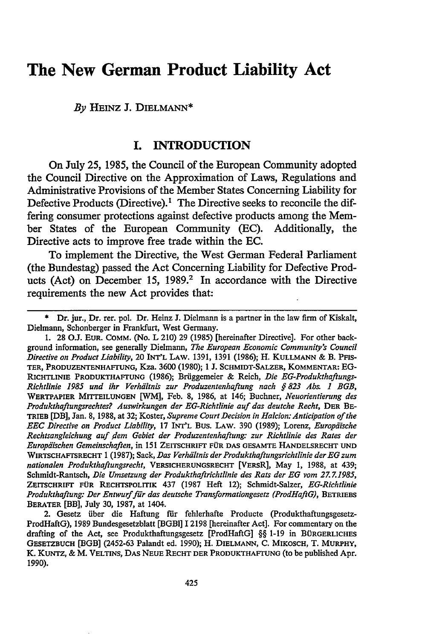## **The New German Product Liability Act**

*By* **HEINZ J.** DIELMANN\*

#### **I. INTRODUCTION**

On July 25, 1985, the Council of the European Community adopted the Council Directive on the Approximation of Laws, Regulations and Administrative Provisions of the Member States Concerning Liability for Defective Products (Directive).<sup>1</sup> The Directive seeks to reconcile the differing consumer protections against defective products among the Member States of the European Community (EC). Additionally, the Directive acts to improve free trade within the **EC.**

To implement the Directive, the West German Federal Parliament (the Bundestag) passed the Act Concerning Liability for Defective Products (Act) on December 15, 1989.<sup>2</sup> In accordance with the Directive requirements the new Act provides that:

<sup>\*</sup> Dr. jur., Dr. rer. pol. Dr. Heinz **J.** Dielmann is a partner in the law firm of Kiskalt, Dielmann, Schonberger in Frankfurt, West Germany.

**<sup>1. 28</sup> O.J. EUR. COMM. (No. L** 210) **29** (1985) [hereinafter Directive]. For other background information, see generally Dielmann, *The European Economic Community's Council Directive on Product Liability,* 20 **INT'L** LAw. 1391, 1391 (1986); H. **KULLMANN &** B. **PFIS-TER, PRODUZENTENHAFrUNG,** Kza. 3600 (1980); 1 **J. SCHMIDT-SALZER, KOMMENTAR: EG-RICHTLINIE PRODUKTHAFTUNG** (1986); Briiggemeier & Reich, *Die EG-Produkthaftungs-Richtlinie 1985 und ihr Verhdltnis zur Produzentenhaftung nach § 823 Ab& 1 BGB,* WERTPAPIER **MITrEILUNGEN** [WM], Feb. **8,** 1986, at 146; Buchner, *Neuorientierung des* Produkthaftungsrechtes? Auswirkungen der EG-Richtlinie auf das deutche Recht, DER BE-**TRIEB** [DB], Jan. 8, **1988,** at 32; Koster, *Supreme Court Decision in Halcion: Anticipation of the EEC Directive on Product Liability,* **17 INT'L Bus. LAW.** 390 (1989); Lorenz, *Europdische Rechtsangleichung auf dem Gebiet der Produzentenhaftung: zur Richtlinie des Rates der Europdischen Gemeinschaften,* in 151 **ZEITSCHRIFT FOR DAS GESAMTE HANDELSRECHT UND** WIRTSCHAFTSRECHT 1 (1987); Sack, *Das VerhdItnis der Produkthaftungsrichtlinie der EG zum nationalen Produkthaftungsrecht,* **VERSICHERUNGSRECHT** [VERSR], May **1,** 1988, at 439; Schmidt-Rantsch, *Die Umsetzung der Produkthaftrichtlinie des Rats der EG vom 27.Z 1985,* **ZEIrsCHRIFr FOR RECHTSPOLITIK** 437 (1987 Heft 12); Schmidt-Salzer, *EG-Richtlinie Produkthaftung: Der Entwurffir das deutsche Transformationgesetz (ProdHaftG),* **BETRIEBS BERATER** [BB], July **30, 1987,** at 1404.

<sup>2.</sup> Gesetz über die Haftung für fehlerhafte Producte (Produkthaftungsgesetz-ProdHaftG), **1989** Bundesgesetzblatt **[BGBI] 12198** [hereinafter Act]. For commentary on the drafting of the Act, see Produkthaftungsgesetz [ProdHaftG] §§ 1-19 in BÜRGERLICHES **GESETZBUCH** [BGB] (2452-63 Palandt ed. 1990); H. **DIELMANN, C.** MIKOSCH, T. **MURPHY,** K. KuNTz, **&** M. VELTINS, **DAS NEUE RECHT** DER **PRODUKTHAFTUNG (to** be published Apr. **1990).**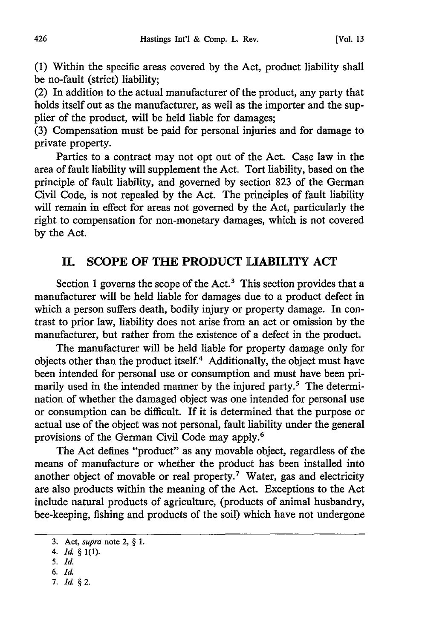(1) Within the specific areas covered by the Act, product liability shall be no-fault (strict) liability;

(2) In addition to the actual manufacturer of the product, any party that holds itself out as the manufacturer, as well as the importer and the supplier of the product, will be held liable for damages;

(3) Compensation must be paid for personal injuries and for damage to private property.

Parties to a contract may not opt out of the Act. Case law in the area of fault liability will supplement the Act. Tort liability, based on the principle of fault liability, and governed by section 823 of the German Civil Code, is not repealed by the Act. The principles of fault liability will remain in effect for areas not governed by the Act, particularly the right to compensation for non-monetary damages, which is not covered by the Act.

#### **II. SCOPE** OF **THE** PRODUCT LIABILITY ACT

Section 1 governs the scope of the Act.<sup>3</sup> This section provides that a manufacturer will be held liable for damages due to a product defect in which a person suffers death, bodily injury or property damage. In contrast to prior law, liability does not arise from an act or omission by the manufacturer, but rather from the existence of a defect in the product.

The manufacturer will be held liable for property damage only for objects other than the product itself.4 Additionally, the object must have been intended for personal use or consumption and must have been primarily used in the intended manner by the injured party.<sup>5</sup> The determination of whether the damaged object was one intended for personal use or consumption can be difficult. If it is determined that the purpose or actual use of the object was not personal, fault liability under the general provisions of the German Civil Code may apply.'

The Act defines "product" as any movable object, regardless of the means of manufacture or whether the product has been installed into another object of movable or real property.<sup>7</sup> Water, gas and electricity are also products within the meaning of the Act. Exceptions to the Act include natural products of agriculture, (products of animal husbandry, bee-keeping, fishing and products of the soil) which have not undergone

- *6. Id.*
- *7. Id.§2.*

<sup>3.</sup> Act, *supra* note 2, § 1.

<sup>4.</sup> *Id.* § 1(1).

*<sup>5.</sup> Id.*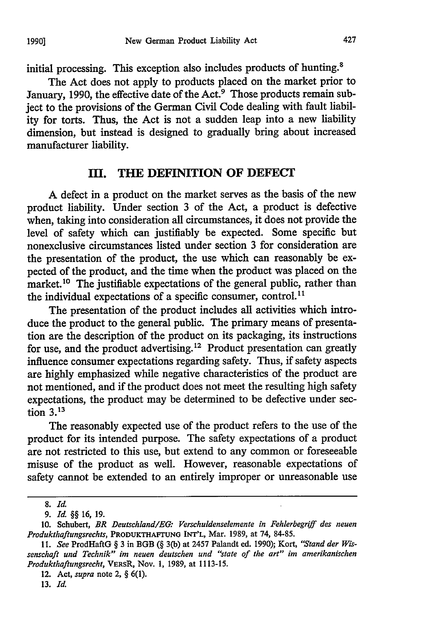initial processing. This exception also includes products of hunting.<sup>8</sup>

The Act does not apply to products placed on the market prior to January, 1990, the effective date of the Act.<sup>9</sup> Those products remain subject to the provisions of the German Civil Code dealing with fault liability for torts. Thus, the Act is not a sudden leap into a new liability dimension, but instead is designed to gradually bring about increased manufacturer liability.

#### **IIM. THE DEFINITION OF DEFECT**

**A** defect in a product on the market serves as the basis of the new product liability. Under section 3 of the Act, a product is defective when, taking into consideration all circumstances, it does not provide the level of safety which can justifiably be expected. Some specific but nonexclusive circumstances listed under section 3 for consideration are the presentation of the product, the use which can reasonably be expected of the product, and the time when the product was placed on the market.<sup>10</sup> The justifiable expectations of the general public, rather than the individual expectations of a specific consumer, control.<sup>11</sup>

The presentation of the product includes all activities which introduce the product to the general public. The primary means of presentation are the description of the product on its packaging, its instructions for use, and the product advertising.<sup>12</sup> Product presentation can greatly influence consumer expectations regarding safety. Thus, if safety aspects are highly emphasized while negative characteristics of the product are not mentioned, and if the product does not meet the resulting high safety expectations, the product may be determined to be defective under section **3.13**

The reasonably expected use of the product refers to the use of the product for its intended purpose. The safety expectations of a product are not restricted to this use, but extend to any common or foreseeable misuse of the product as well. However, reasonable expectations of safety cannot be extended to an entirely improper or unreasonable use

13. *Id.*

**<sup>8.</sup>** *Id*

<sup>9.</sup> *Id.* §§ 16, 19.

<sup>10.</sup> Schubert, *BR Deutschland/EG: Verschuldenselemente in Fehlerbegriff des neuen Produkthaftungsrechts,* **PRODUKTHAFrtUNG** INI'L, Mar. 1989, at 74, 84-85.

<sup>11.</sup> *See* ProdHaftG § 3 in BGB (§ 3(b) at 2457 Palandt ed. 1990); Kort, *"Stand der Wissenschaft und Technik" im neuen deutschen und "state of the art" im amerikanischen Produkthaftungsrecht,* VERsR, Nov. 1, 1989, at 1113-15.

<sup>12.</sup> Act, *supra* note 2, § 6(1).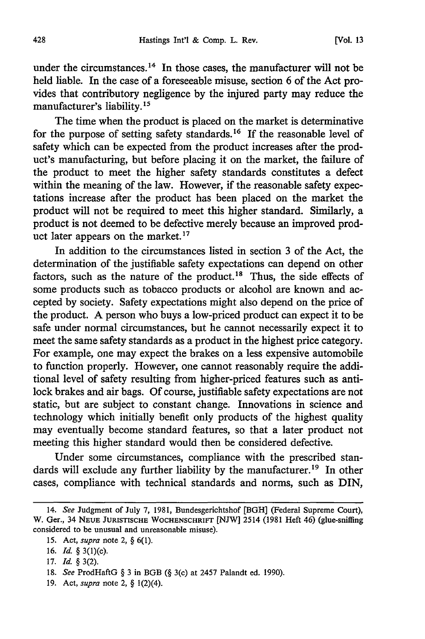under the circumstances.<sup>14</sup> In those cases, the manufacturer will not be held liable. In the case of a foreseeable misuse, section 6 of the Act provides that contributory negligence by the injured party may reduce the manufacturer's liability.15

The time when the product is placed on the market is determinative for the purpose of setting safety standards.<sup>16</sup> If the reasonable level of safety which can be expected from the product increases after the product's manufacturing, but before placing it on the market, the failure of the product to meet the higher safety standards constitutes a defect within the meaning of the law. However, if the reasonable safety expectations increase after the product has been placed on the market the product will not be required to meet this higher standard. Similarly, a product is not deemed to be defective merely because an improved product later appears on the market. **17**

In addition to the circumstances listed in section 3 of the Act, the determination of the justifiable safety expectations can depend on other factors, such as the nature of the product.<sup>18</sup> Thus, the side effects of some products such as tobacco products or alcohol are known and accepted by society. Safety expectations might also depend on the price of the product. A person who buys a low-priced product can expect it to be safe under normal circumstances, but he cannot necessarily expect it to meet the same safety standards as a product in the highest price category. For example, one may expect the brakes on a less expensive automobile to function properly. However, one cannot reasonably require the additional level of safety resulting from higher-priced features such as antilock brakes and air bags. Of course, justifiable safety expectations are not static, but are subject to constant change. Innovations in science and technology which initially benefit only products of the highest quality may eventually become standard features, so that a later product not meeting this higher standard would then be considered defective.

Under some circumstances, compliance with the prescribed standards will exclude any further liability by the manufacturer.<sup>19</sup> In other cases, compliance with technical standards and norms, such as DIN,

- 18. *See* ProdHaftG § 3 in BGB (§ 3(c) at 2457 Palandt ed. 1990).
- 19. Act, *supra* note 2, § 1(2)(4).

<sup>14.</sup> *See* Judgment of July 7, 1981, Bundesgerichtshof [BGH] (Federal Supreme Court), W. Ger., 34 **NEUE** JURISTISCHE WOCHENSCHRIFT **[NJW]** 2514 (1981 Heft 46) (glue-sniffing considered to be unusual and unreasonable misuse).

<sup>15.</sup> Act, *supra* note 2, § 6(1).

**<sup>16.</sup>** *Id.* § 3(l)(c).

<sup>17.</sup> *Id.* § 3(2).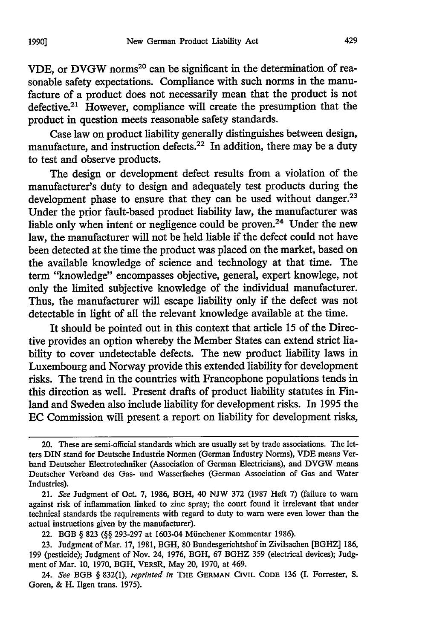VDE, or DVGW norms<sup>20</sup> can be significant in the determination of reasonable safety expectations. Compliance with such norms in the manufacture of a product does not necessarily mean that the product is not defective.<sup>21</sup> However, compliance will create the presumption that the product in question meets reasonable safety standards.

Case law on product liability generally distinguishes between design, manufacture, and instruction defects.<sup>22</sup> In addition, there may be a duty to test and observe products.

The design or development defect results from a violation of the manufacturer's duty to design and adequately test products during the development phase to ensure that they can be used without danger.<sup>23</sup> Under the prior fault-based product liability law, the manufacturer was liable only when intent or negligence could be proven.<sup>24</sup> Under the new law, the manufacturer will not be held liable if the defect could not have been detected at the time the product was placed on the market, based on the available knowledge of science and technology at that time. The term "knowledge" encompasses objective, general, expert knowlege, not only the limited subjective knowledge of the individual manufacturer. Thus, the manufacturer will escape liability only if the defect was not detectable in light of all the relevant knowledge available at the time.

It should be pointed out in this context that article 15 of the Directive provides an option whereby the Member States can extend strict liability to cover undetectable defects. The new product liability laws in Luxembourg and Norway provide this extended liability for development risks. The trend in the countries with Francophone populations tends in this direction as well. Present drafts of product liability statutes in Finland and Sweden also include liability for development risks. In 1995 the EC Commission will present a report on liability for development risks,

<sup>20.</sup> These are semi-official standards which are usually set by trade associations. The letters DIN stand for Deutsche Industrie Normen (German Industry Norms), **VDE** means Verband Deutscher Electrotechniker (Association of German Electricians), and DVGW means Deutscher Verband des Gas- und Wasserfaches (German Association of Gas and Water Industries).

<sup>21.</sup> *See* Judgment of Oct. 7, 1986, BGH, 40 NJW 372 (1987 Heft 7) (failure to warn against risk of inflammation linked to zinc spray; the court found it irrelevant that under technical standards the requirements with regard to duty to warn were even lower than the actual instructions given by the manufacturer).

<sup>22.</sup> BGB § 823 (§§ 293-297 at 1603-04 Miinchener Kommentar 1986).

<sup>23.</sup> Judgment of Mar. 17, 1981, BGH, 80 Bundesgerichtshof in Zivilsachen [BGHZ] 186, 199 (pesticide); Judgment of Nov. 24, 1976, BGH, 67 BGHZ 359 (electrical devices); Judgment of Mar. 10, 1970, BGH, VERsR, May 20, 1970, at 469.

<sup>24.</sup> *See* BGB § 832(l), *reprinted in* THE **GERMAN** CIVIL **CODE** 136 (I. Forrester, **S.** Goren, & H. Ilgen trans. 1975).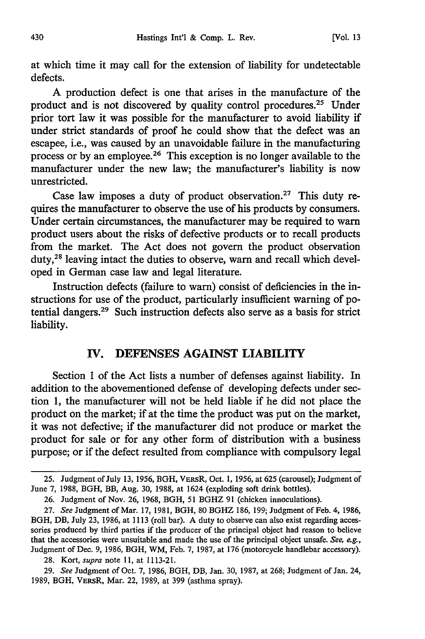at which time it may call for the extension of liability for undetectable defects.

A production defect is one that arises in the manufacture of the product and is not discovered by quality control procedures.<sup>25</sup> Under prior tort law it was possible for the manufacturer to avoid liability if under strict standards of proof he could show that the defect was an escapee, i.e., was caused by an unavoidable failure in the manufacturing process or by an employee. 26 This exception is no longer available to the manufacturer under the new law; the manufacturer's liability is now unrestricted.

Case law imposes a duty of product observation.27 This duty requires the manufacturer to observe the use of his products by consumers. Under certain circumstances, the manufacturer may be required to warn product users about the risks of defective products or to recall products from the market. The Act does not govern the product observation duty,<sup>28</sup> leaving intact the duties to observe, warn and recall which developed in German case law and legal literature.

Instruction defects (failure to warn) consist of deficiencies in the instructions for use of the product, particularly insufficient warning of potential dangers.29 Such instruction defects also serve as a basis for strict liability.

#### **IV. DEFENSES AGAINST LIABILITY**

Section **1** of the Act lists a number of defenses against liability. In addition to the abovementioned defense of developing defects under section 1, the manufacturer will not be held liable if he did not place the product on the market; if at the time the product was put on the market, it was not defective; if the manufacturer did not produce or market the product for sale or for any other form of distribution with a business purpose; or if the defect resulted from compliance with compulsory legal

28. Kort, *supra* note **11,** at 1113-21.

<sup>25.</sup> Judgment of July 13, 1956, BGH, VERsR, Oct. 1, 1956, at 625 (carousel); Judgment of June 7, 1988, BGH, BB, Aug. 30, 1988, at 1624 (exploding soft drink bottles).

<sup>26.</sup> Judgment of Nov. 26, 1968, BGH, 51 BGHZ 91 (chicken innoculations).

<sup>27.</sup> *See* Judgment of Mar. 17, 1981, BGH, 80 BGHZ 186, 199; Judgment of Feb. 4, 1986, BGH, DB, July 23, 1986, at 1113 (roll bar). A duty to observe can also exist regarding accessories produced by third parties if the producer of the principal object had reason to believe that the accessories were unsuitable and made the use of the principal object unsafe. *See, eg.,* Judgment of Dec. 9, 1986, BGH, WM, Feb. 7, 1987, at 176 (motorcycle handlebar accessory).

<sup>29.</sup> *See* Judgment of Oct. 7, 1986, BGH, DB, Jan. 30, 1987, at 268; Judgment of Jan. 24, 1989, BGH, VERsR, Mar. 22, 1989, at 399 (asthma spray).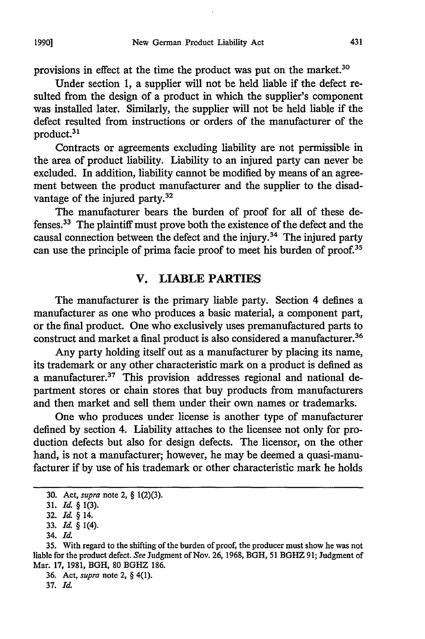provisions in effect at the time the product was put on the market.<sup>30</sup>

Under section 1, a supplier will not be held liable if the defect resulted from the design of a product in which the supplier's component was installed later. Similarly, the supplier will not be held liable if the defect resulted from instructions or orders of the manufacturer of the product.<sup>31</sup>

Contracts or agreements excluding liability are not permissible in the area of product liability. Liability to an injured party can never be excluded. In addition, liability cannot be modified by means of an agreement between the product manufacturer and the supplier to the disadvantage of the injured party.<sup>32</sup>

The manufacturer bears the burden of proof for all of these defenses.33 The plaintiff must prove both the existence of the defect and the causal connection between the defect and the injury. 34 The injured party can use the principle of prima facie proof to meet his burden of proof.<sup>35</sup>

#### V. LIABLE PARTIES

The manufacturer is the primary liable party. Section 4 defines a manufacturer as one who produces a basic material, a component part, or the final product. One who exclusively uses premanufactured parts to construct and market a final product is also considered a manufacturer.<sup>36</sup>

Any party holding itself out as a manufacturer by placing its name, its trademark or any other characteristic mark on a product is defined as a manufacturer.<sup>37</sup> This provision addresses regional and national department stores or chain stores that buy products from manufacturers and then market and sell them under their own names or trademarks.

One who produces under license is another type of manufacturer defined by section 4. Liability attaches to the licensee not only for production defects but also for design defects. The licensor, on the other hand, is not a manufacturer; however, he may be deemed a quasi-manufacturer if by use of his trademark or other characteristic mark he holds

37. *Id.*

<sup>30.</sup> Act, *supra* note 2, § 1(2)(3).

<sup>31.</sup> *Id. §* 1(3).

**<sup>32.</sup>** *Id.* § 14.

<sup>33.</sup> *Id* § 1(4).

<sup>34.</sup> *Id*

<sup>35.</sup> With regard to the shifting of the burden of proof, the producer must show he was not liable for the product defect. *See* Judgment of Nov. 26, 1968, BGH, 51 BGHZ **91;** Judgment of Mar. 17, 1981, BGH, **80** BGHZ 186.

<sup>36.</sup> Act, *supra* note 2, § 4(1).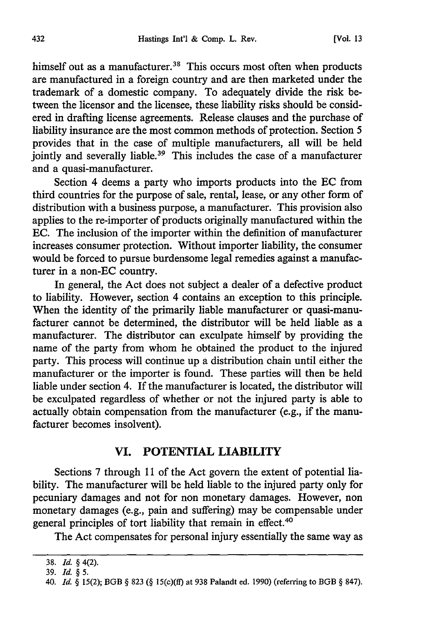himself out as a manufacturer.<sup>38</sup> This occurs most often when products are manufactured in a foreign country and are then marketed under the trademark of a domestic company. To adequately divide the risk between the licensor and the licensee, these liability risks should be considered in drafting license agreements. Release clauses and the purchase of liability insurance are the most common methods of protection. Section 5 provides that in the case of multiple manufacturers, all will be held jointly and severally liable.<sup>39</sup> This includes the case of a manufacturer and a quasi-manufacturer.

Section 4 deems a party who imports products into the EC from third countries for the purpose of sale, rental, lease, or any other form of distribution with a business purpose, a manufacturer. This provision also applies to the re-importer of products originally manufactured within the EC. The inclusion of the importer within the definition of manufacturer increases consumer protection. Without importer liability, the consumer would be forced to pursue burdensome legal remedies against a manufacturer in a non-EC country.

In general, the Act does not subject a dealer of a defective product to liability. However, section 4 contains an exception to this principle. When the identity of the primarily liable manufacturer or quasi-manufacturer cannot be determined, the distributor will be held liable as a manufacturer. The distributor can exculpate himself by providing the name of the party from whom he obtained the product to the injured party. This process will continue up a distribution chain until either the manufacturer or the importer is found. These parties will then be held liable under section 4. If the manufacturer is located, the distributor will be exculpated regardless of whether or not the injured party is able to actually obtain compensation from the manufacturer (e.g., if the manufacturer becomes insolvent).

### **VI. POTENTIAL LIABILITY**

Sections **7** through **11** of the Act govern the extent of potential liability. The manufacturer will be held liable to the injured party only for pecuniary damages and not for non monetary damages. However, non monetary damages (e.g., pain and suffering) may be compensable under general principles of tort liability that remain in effect.<sup>40</sup>

The Act compensates for personal injury essentially the same way as

<sup>38.</sup> *Id.* § 4(2).

<sup>39.</sup> *Id. § 5.*

<sup>40.</sup> *Id. §* 15(2); BGB § 823 **(§** 15(c)(ff) at 938 Palandt ed. 1990) (referring to BGB § 847).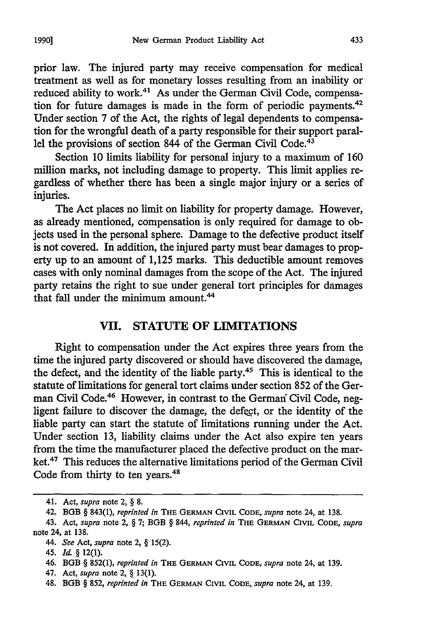prior law. The injured party may receive compensation for medical treatment as well as for monetary losses resulting from an inability or reduced ability to work.<sup>41</sup> As under the German Civil Code, compensation for future damages is made in the form of periodic payments.42 Under section 7 of the Act, the rights of legal dependents to compensation for the wrongful death of a party responsible for their support parallel the provisions of section 844 of the German Civil Code.<sup>43</sup>

Section 10 limits liability for personal injury to a maximum of 160 million marks, not including damage to property. This limit applies regardless of whether there has been a single major injury or a series of injuries.

The Act places no limit on liability for property damage. However, as already mentioned, compensation is only required for damage to objects used in the personal sphere. Damage to the defective product itself is not covered. In addition, the injured party must bear damages to property up to an amount of 1,125 marks. This deductible amount removes cases with only nominal damages from the scope of the Act. The injured party retains the right to sue under general tort principles for damages that fall under the minimum amount.<sup>44</sup>

#### VII. **STATUTE** OF LIMITATIONS

Right to compensation under the Act expires three years from the time the injured party discovered or should have discovered the damage, the defect, and the identity of the liable party. $45$  This is identical to the statute of limitations for general tort claims under section 852 of the German Civil Code.<sup>46</sup> However, in contrast to the German Civil Code, negligent failure to discover the damage, the defect, or the identity of the liable party can start the statute of limitations running under the Act. Under section 13, liability claims under the Act also expire ten years from the time the manufacturer placed the defective product on the market.47 This reduces the alternative limitations period of the German Civil Code from thirty to ten years.<sup>48</sup>

<sup>41.</sup> Act, *supra* note 2, § 8.

<sup>42.</sup> **BGB** § 843(1), *reprinted in* **THE GERMAN** CIVIL **CODE,** *supra* note 24, at 138.

<sup>43.</sup> Act, *supra* note 2, § 7; BGB § *844, reprinted in* **THE GERMAN** CIVIL **CODE,** *supra* note 24, at 138.

*<sup>44.</sup> See* Act, *supra* note 2, § 15(2).

<sup>45.</sup> *Id.* § 12(l).

<sup>46.</sup> BGB § 852(1), *reprinted in* THE **GERMAN** CIVIL **CODE,** *supra* note 24, at 139.

<sup>47.</sup> Act, *supra* note 2, **§.** 13(1).

<sup>48.</sup> BGB § 852, *reprinted in* **THE GERMAN CIVIL** CODE, *supra* note 24, at 139.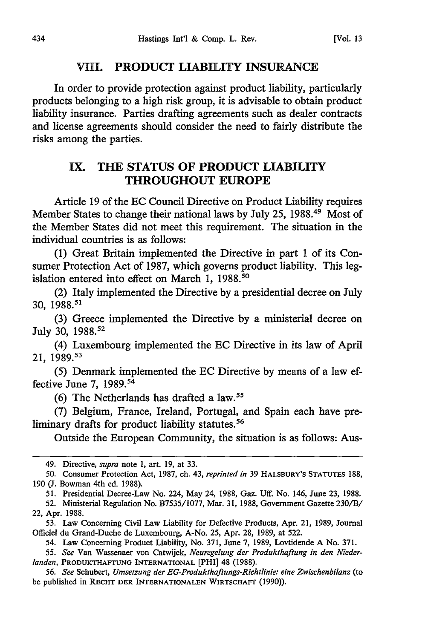#### [Vol. **13**

#### VIII. PRODUCT LIABILITY **INSURANCE**

In order to provide protection against product liability, particularly products belonging to a high risk group, it is advisable to obtain product liability insurance. Parties drafting agreements such as dealer contracts and license agreements should consider the need to fairly distribute the risks among the parties.

### **IX. THE STATUS OF PRODUCT LIABILITY THROUGHOUT EUROPE**

Article **19** of the **EC** Council Directive on Product Liability requires Member States to change their national laws **by** July **25,** 1988. 49 Most of the Member States did not meet this requirement. The situation in the individual countries is as follows:

**(1)** Great Britain implemented the Directive in part **1** of its Consumer Protection Act of **1987,** which governs product liability. This legislation entered into effect on March 1, 1988.<sup>50</sup>

(2) Italy implemented the Directive **by** a presidential decree on **July** 30, **1988. <sup>51</sup>**

(3) Greece implemented the Directive by a ministerial decree on July 30, 1988.<sup>52</sup>

(4) Luxembourg implemented the EC Directive in its law of April 21, 1989.<sup>53</sup>

(5) Denmark implemented the EC Directive by means of a law effective June 7,  $1989$ .<sup>54</sup>

(6) The Netherlands has drafted a law.15

(7) Belgium, France, Ireland, Portugal, and Spain each have preliminary drafts for product liability statutes.<sup>56</sup>

Outside the European Community, the situation is as follows: Aus-

<sup>49.</sup> Directive, *supra* note 1, art. 19, at 33.

<sup>50.</sup> Consumer Protection Act, 1987, ch. 43, *reprinted in* 39 HALSBURY'S STATUTES **188,** 190 (J. Bowman 4th ed. 1988).

<sup>51.</sup> Presidential Decree-Law No. 224, May 24, 1988, Gaz. Uff. No. 146, June 23, 1988.

<sup>52.</sup> Ministerial Regulation No. B7535/1077, Mar. 31, 1988, Government Gazette 230/B/ 22, Apr. 1988.

<sup>53.</sup> Law Concerning Civil Law Liability for Defective Products, Apr. 21, 1989, Journal Officiel du Grand-Duche de Luxembourg, A-No. 25, Apr. 28, 1989, at 522.

<sup>54.</sup> Law Concerning Product Liability, No. 371, June 7, 1989, Lovtidende A No. 371.

<sup>55.</sup> *See* Van Wassenaer von Catwijck, *Neuregelung der Produkthaftung in den Niederlanden,* **PRODUKTHAFrUNG** INTERNATIONAL [PHI] 48 (1988).

<sup>56.</sup> *See* Schubert, *Umsetzung der EG-Produkthaftungs-Richtlinie: eine Zwischenbilanz* (to be published in RECHT DER INTERNATIONALEN WIRTSCHAFr (1990)).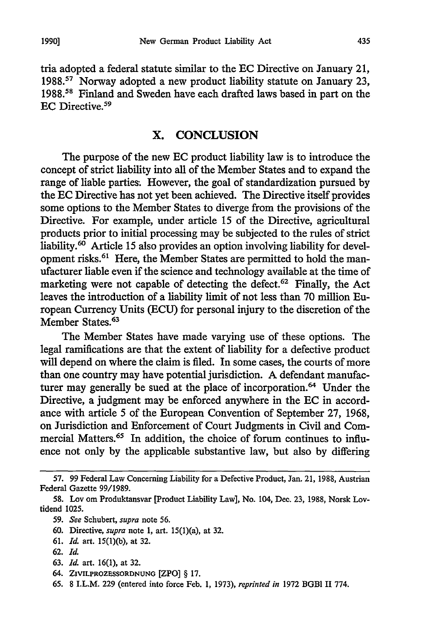tria adopted a federal statute similar to the EC Directive on January 21, 1988.<sup>57</sup> Norway adopted a new product liability statute on January 23, 1988.<sup>58</sup> Finland and Sweden have each drafted laws based in part on the EC Directive.<sup>59</sup>

#### X. CONCLUSION

The purpose of the new EC product liability law is to introduce the concept of strict liability into all of the Member States and to expand the range of liable parties. However, the goal of standardization pursued by the EC Directive has not yet been achieved. The Directive itself provides some options to the Member States to diverge from the provisions of the Directive. For example, under article 15 of the Directive, agricultural products prior to initial processing may be subjected to the rules of strict liability.<sup>60</sup> Article 15 also provides an option involving liability for development risks.<sup>61</sup> Here, the Member States are permitted to hold the manufacturer liable even if the science and technology available at the time of marketing were not capable of detecting the defect. $62$  Finally, the Act leaves the introduction of a liability limit of not less than 70 million European Currency Units (ECU) for personal injury to the discretion of the Member States.<sup>63</sup>

The Member States have made varying use of these options. The legal ramifications are that the extent of liability for a defective product will depend on where the claim is filed. In some cases, the courts of more than one country may have potential jurisdiction. A defendant manufacturer may generally be sued at the place of incorporation.<sup>64</sup> Under the Directive, a judgment may be enforced anywhere in the EC in accordance with article 5 of the European Convention of September 27, 1968, on Jurisdiction and Enforcement of Court Judgments in Civil and Commercial Matters.<sup>65</sup> In addition, the choice of forum continues to influence not only by the applicable substantive law, but also by differing

63. *Id.* art. 16(1), at 32.

**65.** 8 I.L.M. 229 (entered into **force Feb.** 1, 1973), *reprinted in* 1972 BGBI II **774.**

<sup>57. 99</sup> Federal Law Concerning Liability for a Defective Product, Jan. 21, 1988, Austrian Federal Gazette 99/1989.

<sup>58.</sup> Lov om Produktansvar [Product Liability Law], No. 104, Dec. 23, 1988, Norsk Lovtidend 1025.

<sup>59.</sup> *See* Schubert, *supra* note 56.

<sup>60.</sup> Directive, *supra* note 1, art. 15(l)(a), at 32.

<sup>61.</sup> *Id.* art. 15(1)(b), at 32.

<sup>62.</sup> *Id.*

<sup>64.</sup> **ZIVILPROZESSORDNUNG** [ZPO] § **17.**